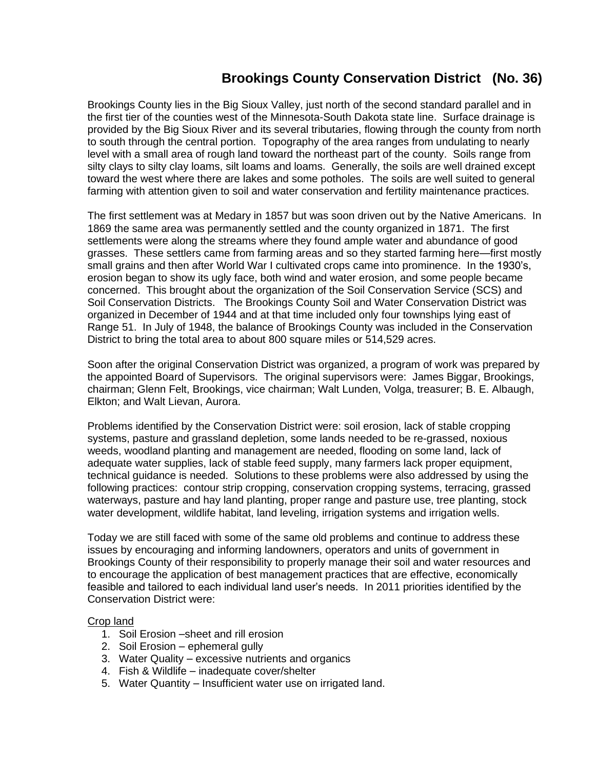## **Brookings County Conservation District (No. 36)**

Brookings County lies in the Big Sioux Valley, just north of the second standard parallel and in the first tier of the counties west of the Minnesota-South Dakota state line. Surface drainage is provided by the Big Sioux River and its several tributaries, flowing through the county from north to south through the central portion. Topography of the area ranges from undulating to nearly level with a small area of rough land toward the northeast part of the county. Soils range from silty clays to silty clay loams, silt loams and loams. Generally, the soils are well drained except toward the west where there are lakes and some potholes. The soils are well suited to general farming with attention given to soil and water conservation and fertility maintenance practices.

The first settlement was at Medary in 1857 but was soon driven out by the Native Americans. In 1869 the same area was permanently settled and the county organized in 1871. The first settlements were along the streams where they found ample water and abundance of good grasses. These settlers came from farming areas and so they started farming here—first mostly small grains and then after World War I cultivated crops came into prominence. In the 1930's, erosion began to show its ugly face, both wind and water erosion, and some people became concerned. This brought about the organization of the Soil Conservation Service (SCS) and Soil Conservation Districts. The Brookings County Soil and Water Conservation District was organized in December of 1944 and at that time included only four townships lying east of Range 51. In July of 1948, the balance of Brookings County was included in the Conservation District to bring the total area to about 800 square miles or 514,529 acres.

Soon after the original Conservation District was organized, a program of work was prepared by the appointed Board of Supervisors. The original supervisors were: James Biggar, Brookings, chairman; Glenn Felt, Brookings, vice chairman; Walt Lunden, Volga, treasurer; B. E. Albaugh, Elkton; and Walt Lievan, Aurora.

Problems identified by the Conservation District were: soil erosion, lack of stable cropping systems, pasture and grassland depletion, some lands needed to be re-grassed, noxious weeds, woodland planting and management are needed, flooding on some land, lack of adequate water supplies, lack of stable feed supply, many farmers lack proper equipment, technical guidance is needed. Solutions to these problems were also addressed by using the following practices: contour strip cropping, conservation cropping systems, terracing, grassed waterways, pasture and hay land planting, proper range and pasture use, tree planting, stock water development, wildlife habitat, land leveling, irrigation systems and irrigation wells.

Today we are still faced with some of the same old problems and continue to address these issues by encouraging and informing landowners, operators and units of government in Brookings County of their responsibility to properly manage their soil and water resources and to encourage the application of best management practices that are effective, economically feasible and tailored to each individual land user's needs. In 2011 priorities identified by the Conservation District were:

## Crop land

- 1. Soil Erosion –sheet and rill erosion
- 2. Soil Erosion ephemeral gully
- 3. Water Quality excessive nutrients and organics
- 4. Fish & Wildlife inadequate cover/shelter
- 5. Water Quantity Insufficient water use on irrigated land.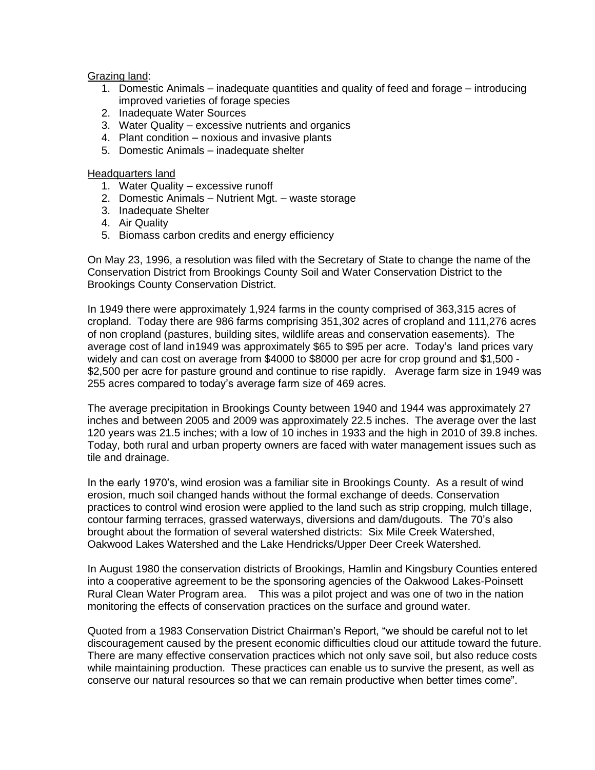## Grazing land:

- 1. Domestic Animals inadequate quantities and quality of feed and forage introducing improved varieties of forage species
- 2. Inadequate Water Sources
- 3. Water Quality excessive nutrients and organics
- 4. Plant condition noxious and invasive plants
- 5. Domestic Animals inadequate shelter

Headquarters land

- 1. Water Quality excessive runoff
- 2. Domestic Animals Nutrient Mgt. waste storage
- 3. Inadequate Shelter
- 4. Air Quality
- 5. Biomass carbon credits and energy efficiency

On May 23, 1996, a resolution was filed with the Secretary of State to change the name of the Conservation District from Brookings County Soil and Water Conservation District to the Brookings County Conservation District.

In 1949 there were approximately 1,924 farms in the county comprised of 363,315 acres of cropland. Today there are 986 farms comprising 351,302 acres of cropland and 111,276 acres of non cropland (pastures, building sites, wildlife areas and conservation easements). The average cost of land in1949 was approximately \$65 to \$95 per acre. Today's land prices vary widely and can cost on average from \$4000 to \$8000 per acre for crop ground and \$1,500 - \$2,500 per acre for pasture ground and continue to rise rapidly. Average farm size in 1949 was 255 acres compared to today's average farm size of 469 acres.

The average precipitation in Brookings County between 1940 and 1944 was approximately 27 inches and between 2005 and 2009 was approximately 22.5 inches. The average over the last 120 years was 21.5 inches; with a low of 10 inches in 1933 and the high in 2010 of 39.8 inches. Today, both rural and urban property owners are faced with water management issues such as tile and drainage.

In the early 1970's, wind erosion was a familiar site in Brookings County. As a result of wind erosion, much soil changed hands without the formal exchange of deeds. Conservation practices to control wind erosion were applied to the land such as strip cropping, mulch tillage, contour farming terraces, grassed waterways, diversions and dam/dugouts. The 70's also brought about the formation of several watershed districts: Six Mile Creek Watershed, Oakwood Lakes Watershed and the Lake Hendricks/Upper Deer Creek Watershed.

In August 1980 the conservation districts of Brookings, Hamlin and Kingsbury Counties entered into a cooperative agreement to be the sponsoring agencies of the Oakwood Lakes-Poinsett Rural Clean Water Program area. This was a pilot project and was one of two in the nation monitoring the effects of conservation practices on the surface and ground water.

Quoted from a 1983 Conservation District Chairman's Report, "we should be careful not to let discouragement caused by the present economic difficulties cloud our attitude toward the future. There are many effective conservation practices which not only save soil, but also reduce costs while maintaining production. These practices can enable us to survive the present, as well as conserve our natural resources so that we can remain productive when better times come".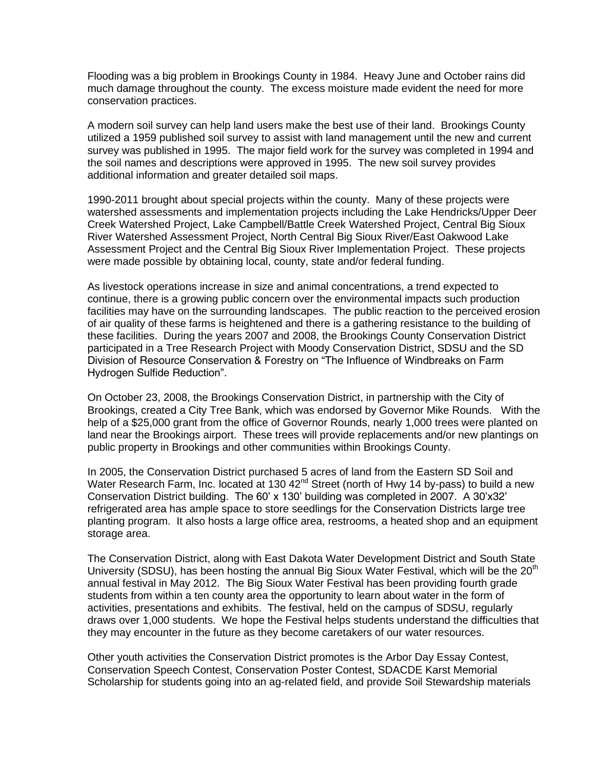Flooding was a big problem in Brookings County in 1984. Heavy June and October rains did much damage throughout the county. The excess moisture made evident the need for more conservation practices.

A modern soil survey can help land users make the best use of their land. Brookings County utilized a 1959 published soil survey to assist with land management until the new and current survey was published in 1995. The major field work for the survey was completed in 1994 and the soil names and descriptions were approved in 1995. The new soil survey provides additional information and greater detailed soil maps.

1990-2011 brought about special projects within the county. Many of these projects were watershed assessments and implementation projects including the Lake Hendricks/Upper Deer Creek Watershed Project, Lake Campbell/Battle Creek Watershed Project, Central Big Sioux River Watershed Assessment Project, North Central Big Sioux River/East Oakwood Lake Assessment Project and the Central Big Sioux River Implementation Project. These projects were made possible by obtaining local, county, state and/or federal funding.

As livestock operations increase in size and animal concentrations, a trend expected to continue, there is a growing public concern over the environmental impacts such production facilities may have on the surrounding landscapes. The public reaction to the perceived erosion of air quality of these farms is heightened and there is a gathering resistance to the building of these facilities. During the years 2007 and 2008, the Brookings County Conservation District participated in a Tree Research Project with Moody Conservation District, SDSU and the SD Division of Resource Conservation & Forestry on "The Influence of Windbreaks on Farm Hydrogen Sulfide Reduction".

On October 23, 2008, the Brookings Conservation District, in partnership with the City of Brookings, created a City Tree Bank, which was endorsed by Governor Mike Rounds. With the help of a \$25,000 grant from the office of Governor Rounds, nearly 1,000 trees were planted on land near the Brookings airport. These trees will provide replacements and/or new plantings on public property in Brookings and other communities within Brookings County.

In 2005, the Conservation District purchased 5 acres of land from the Eastern SD Soil and Water Research Farm, Inc. located at 130  $42<sup>nd</sup>$  Street (north of Hwy 14 by-pass) to build a new Conservation District building. The 60' x 130' building was completed in 2007. A 30'x32' refrigerated area has ample space to store seedlings for the Conservation Districts large tree planting program. It also hosts a large office area, restrooms, a heated shop and an equipment storage area.

The Conservation District, along with East Dakota Water Development District and South State University (SDSU), has been hosting the annual Big Sioux Water Festival, which will be the 20<sup>th</sup> annual festival in May 2012. The Big Sioux Water Festival has been providing fourth grade students from within a ten county area the opportunity to learn about water in the form of activities, presentations and exhibits. The festival, held on the campus of SDSU, regularly draws over 1,000 students. We hope the Festival helps students understand the difficulties that they may encounter in the future as they become caretakers of our water resources.

Other youth activities the Conservation District promotes is the Arbor Day Essay Contest, Conservation Speech Contest, Conservation Poster Contest, SDACDE Karst Memorial Scholarship for students going into an ag-related field, and provide Soil Stewardship materials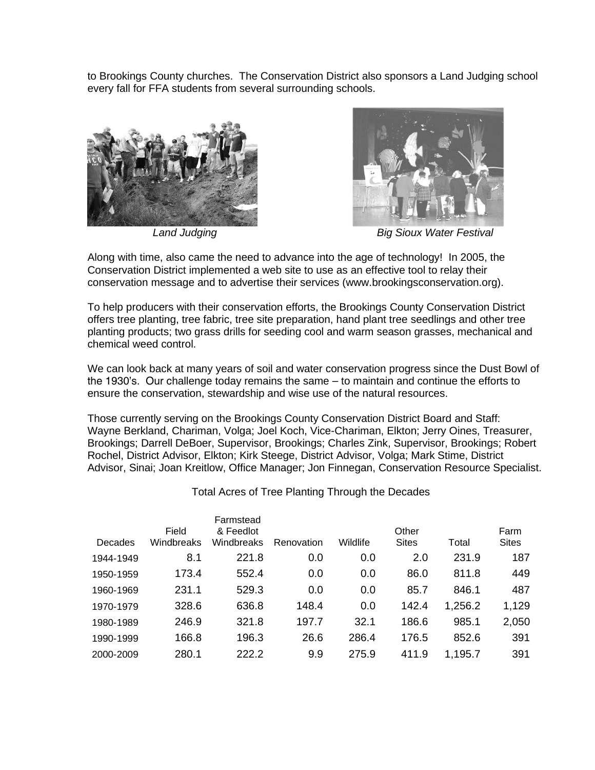to Brookings County churches. The Conservation District also sponsors a Land Judging school every fall for FFA students from several surrounding schools.





*Land Judging Big Sioux Water Festival*

Along with time, also came the need to advance into the age of technology! In 2005, the Conservation District implemented a web site to use as an effective tool to relay their conservation message and to advertise their services (www.brookingsconservation.org).

To help producers with their conservation efforts, the Brookings County Conservation District offers tree planting, tree fabric, tree site preparation, hand plant tree seedlings and other tree planting products; two grass drills for seeding cool and warm season grasses, mechanical and chemical weed control.

We can look back at many years of soil and water conservation progress since the Dust Bowl of the 1930's. Our challenge today remains the same – to maintain and continue the efforts to ensure the conservation, stewardship and wise use of the natural resources.

Those currently serving on the Brookings County Conservation District Board and Staff: Wayne Berkland, Chariman, Volga; Joel Koch, Vice-Chariman, Elkton; Jerry Oines, Treasurer, Brookings; Darrell DeBoer, Supervisor, Brookings; Charles Zink, Supervisor, Brookings; Robert Rochel, District Advisor, Elkton; Kirk Steege, District Advisor, Volga; Mark Stime, District Advisor, Sinai; Joan Kreitlow, Office Manager; Jon Finnegan, Conservation Resource Specialist.

|           | Field      | Farmstead<br>& Feedlot |            |          | Other        |         | Farm         |
|-----------|------------|------------------------|------------|----------|--------------|---------|--------------|
| Decades   | Windbreaks | Windbreaks             | Renovation | Wildlife | <b>Sites</b> | Total   | <b>Sites</b> |
| 1944-1949 | 8.1        | 221.8                  | 0.0        | 0.0      | 2.0          | 231.9   | 187          |
| 1950-1959 | 173.4      | 552.4                  | 0.0        | 0.0      | 86.0         | 811.8   | 449          |
| 1960-1969 | 231.1      | 529.3                  | 0.0        | 0.0      | 85.7         | 846.1   | 487          |
| 1970-1979 | 328.6      | 636.8                  | 148.4      | 0.0      | 142.4        | 1,256.2 | 1,129        |
| 1980-1989 | 246.9      | 321.8                  | 197.7      | 32.1     | 186.6        | 985.1   | 2,050        |
| 1990-1999 | 166.8      | 196.3                  | 26.6       | 286.4    | 176.5        | 852.6   | 391          |
| 2000-2009 | 280.1      | 222.2                  | 9.9        | 275.9    | 411.9        | 1,195.7 | 391          |

Total Acres of Tree Planting Through the Decades